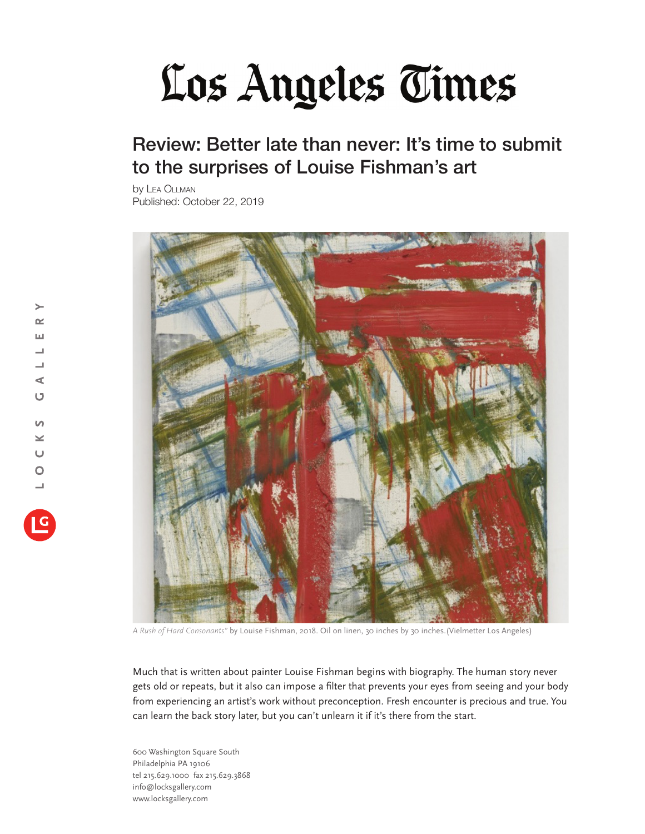## Los Angeles Times

## Review: Better late than never: It's time to submit to the surprises of Louise Fishman's art

by Lea Ollman Published: October 22, 2019



*A Rush of Hard Consonants"* by Louise Fishman, 2018. Oil on linen, 30 inches by 30 inches.(Vielmetter Los Angeles)

Much that is written about painter Louise Fishman begins with biography. The human story never gets old or repeats, but it also can impose a filter that prevents your eyes from seeing and your body from experiencing an artist's work without preconception. Fresh encounter is precious and true. You can learn the back story later, but you can't unlearn it if it's there from the start.

600 Washington Square South Philadelphia PA 19106 tel 215.629.1000 fax 215.629.3868 info@locksgallery.com www.locksgallery.com

 $\rightarrow$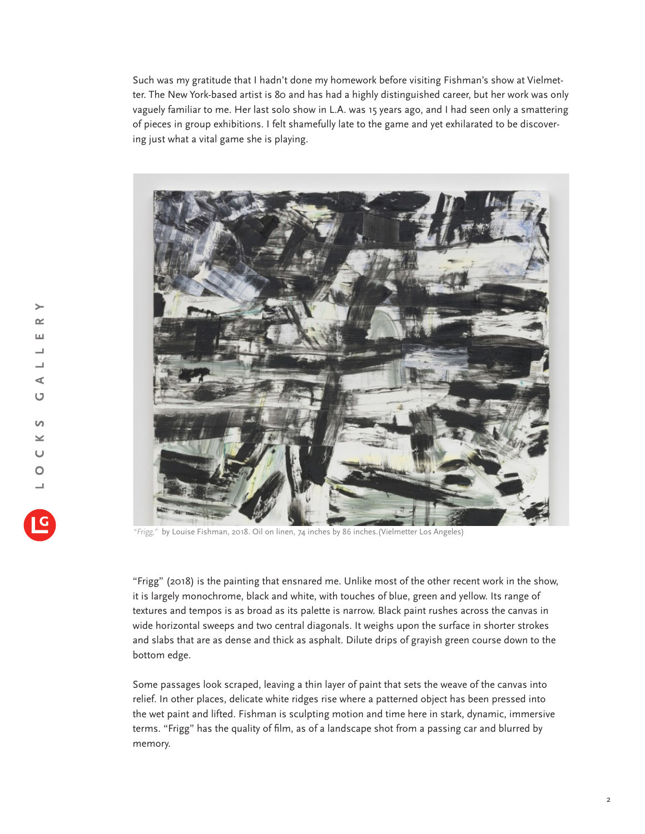Such was my gratitude that I hadn't done my homework before visiting Fishman's show at Vielmetter. The New York-based artist is 80 and has had a highly distinguished career, but her work was only vaguely familiar to me. Her last solo show in L.A. was 15 years ago, and I had seen only a smattering of pieces in group exhibitions. I felt shamefully late to the game and yet exhilarated to be discovering just what a vital game she is playing.



*"Frigg,"* by Louise Fishman, 2018. Oil on linen, 74 inches by 86 inches.(Vielmetter Los Angeles)

"Frigg" (2018) is the painting that ensnared me. Unlike most of the other recent work in the show, it is largely monochrome, black and white, with touches of blue, green and yellow. Its range of textures and tempos is as broad as its palette is narrow. Black paint rushes across the canvas in wide horizontal sweeps and two central diagonals. It weighs upon the surface in shorter strokes and slabs that are as dense and thick as asphalt. Dilute drips of grayish green course down to the bottom edge.

Some passages look scraped, leaving a thin layer of paint that sets the weave of the canvas into relief. In other places, delicate white ridges rise where a patterned object has been pressed into the wet paint and lifted. Fishman is sculpting motion and time here in stark, dynamic, immersive terms. "Frigg" has the quality of film, as of a landscape shot from a passing car and blurred by memory.

 $\rightarrow$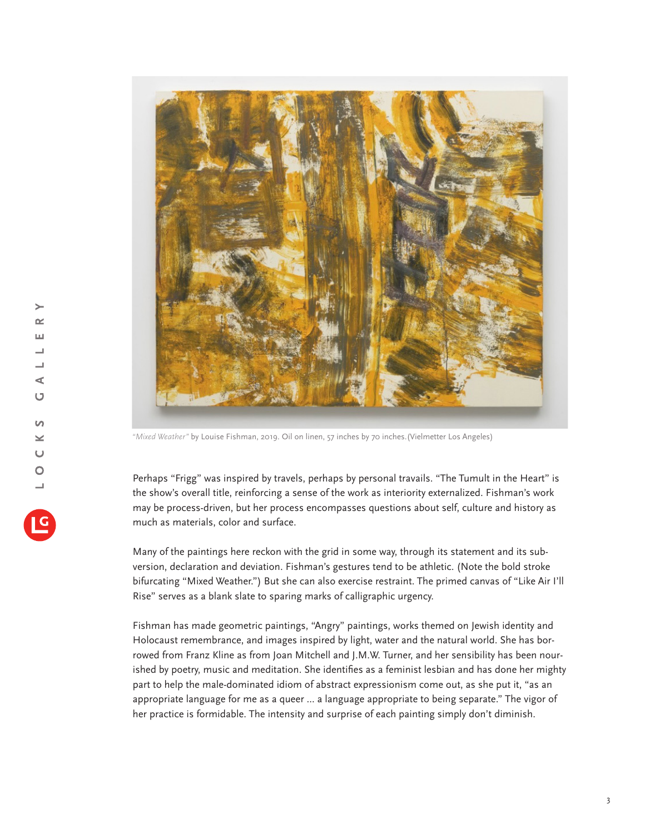

*"Mixed Weather"* by Louise Fishman, 2019. Oil on linen, 57 inches by 70 inches.(Vielmetter Los Angeles)

Perhaps "Frigg" was inspired by travels, perhaps by personal travails. "The Tumult in the Heart" is the show's overall title, reinforcing a sense of the work as interiority externalized. Fishman's work may be process-driven, but her process encompasses questions about self, culture and history as much as materials, color and surface.

Many of the paintings here reckon with the grid in some way, through its statement and its subversion, declaration and deviation. Fishman's gestures tend to be athletic. (Note the bold stroke bifurcating "Mixed Weather.") But she can also exercise restraint. The primed canvas of "Like Air I'll Rise" serves as a blank slate to sparing marks of calligraphic urgency.

Fishman has made geometric paintings, "Angry" paintings, works themed on Jewish identity and Holocaust remembrance, and images inspired by light, water and the natural world. She has borrowed from Franz Kline as from Joan Mitchell and J.M.W. Turner, and her sensibility has been nourished by poetry, music and meditation. She identifies as a feminist lesbian and has done her mighty part to help the male-dominated idiom of abstract expressionism come out, as she put it, "as an appropriate language for me as a queer ... a language appropriate to being separate." The vigor of her practice is formidable. The intensity and surprise of each painting simply don't diminish.

 $\rightarrow$